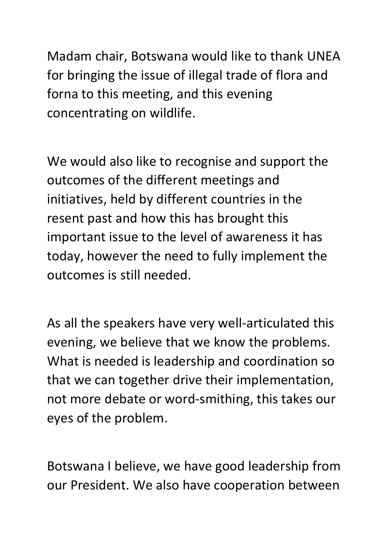Madam chair, Botswana would like to thank UNEA for bringing the issue of illegal trade of flora and forna to this meeting, and this evening concentrating on wildlife.

We would also like to recognise and support the outcomes of the different meetings and initiatives, held by different countries in the resent past and how this has brought this important issue to the level of awareness it has today, however the need to fully implement the outcomes is still needed.

As all the speakers have very well-articulated this evening, we believe that we know the problems. What is needed is leadership and coordination so that we can together drive their implementation, not more debate or word-smithing, this takes our eyes of the problem.

Botswana I believe, we have good leadership from our President. We also have cooperation between